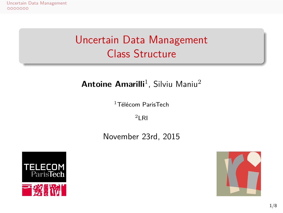## Uncertain Data Management Class Structure

## **Antoine Amarilli**<sup>1</sup>, Silviu Maniu<sup>2</sup>

 $1$ Télécom ParisTech  $2$ LRI





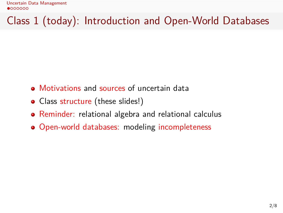Uncertain Data Management<br> $\bullet$ 000000

Class 1 (today): Introduction and Open-World Databases

- Motivations and sources of uncertain data
- Class structure (these slides!)
- Reminder: relational algebra and relational calculus
- Open-world databases: modeling incompleteness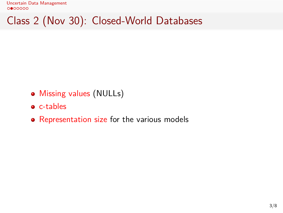Class 2 (Nov 30): Closed-World Databases

- Missing values (NULLs)
- c-tables
- Representation size for the various models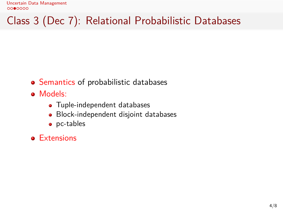Class 3 (Dec 7): Relational Probabilistic Databases

- Semantics of probabilistic databases
- Models:
	- Tuple-independent databases
	- Block-independent disjoint databases
	- pc-tables
- **•** Extensions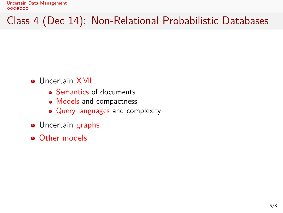Class 4 (Dec 14): Non-Relational Probabilistic Databases

- Uncertain XML
	- Semantics of documents
	- Models and compactness
	- Query languages and complexity
- **·** Uncertain graphs
- **o** Other models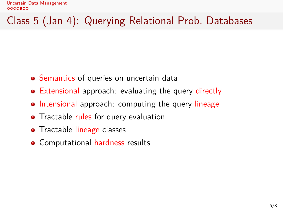Class 5 (Jan 4): Querying Relational Prob. Databases

- Semantics of queries on uncertain data
- Extensional approach: evaluating the query directly
- Intensional approach: computing the query lineage
- Tractable rules for query evaluation
- **•** Tractable lineage classes
- **•** Computational hardness results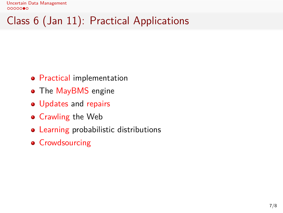Class 6 (Jan 11): Practical Applications

- **•** Practical implementation
- The MayBMS engine
- Updates and repairs
- **•** Crawling the Web
- Learning probabilistic distributions
- **•** Crowdsourcing